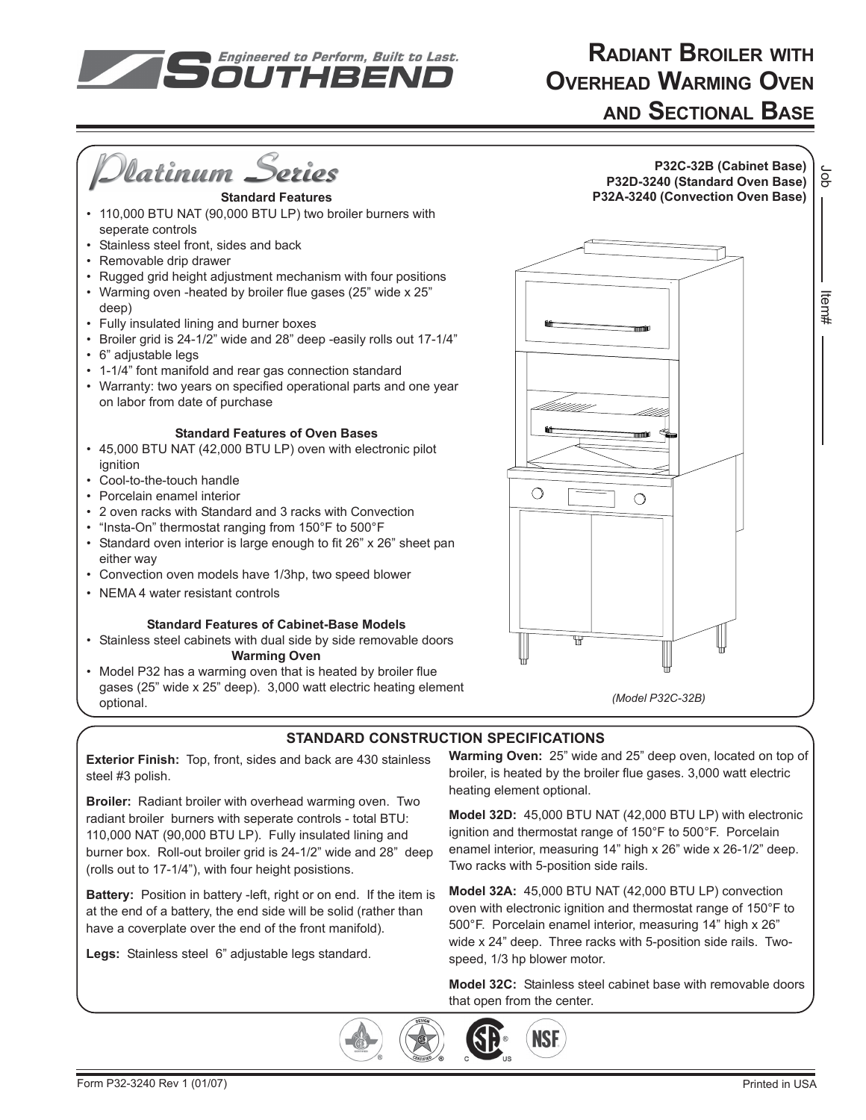

# **RADIANT BROILER WITH OVERHEAD WARMING OVEN AND SECTIONAL BASE**



**Exterior Finish:** Top, front, sides and back are 430 stainless steel #3 polish.

**Broiler:** Radiant broiler with overhead warming oven. Two radiant broiler burners with seperate controls - total BTU: 110,000 NAT (90,000 BTU LP). Fully insulated lining and burner box. Roll-out broiler grid is 24-1/2" wide and 28" deep (rolls out to 17-1/4"), with four height posistions.

**Battery:** Position in battery -left, right or on end. If the item is at the end of a battery, the end side will be solid (rather than have a coverplate over the end of the front manifold).

**Legs:** Stainless steel 6" adjustable legs standard.

**Warming Oven:** 25" wide and 25" deep oven, located on top of broiler, is heated by the broiler flue gases. 3,000 watt electric heating element optional.

**Model 32D:** 45,000 BTU NAT (42,000 BTU LP) with electronic ignition and thermostat range of 150°F to 500°F. Porcelain enamel interior, measuring 14" high x 26" wide x 26-1/2" deep. Two racks with 5-position side rails.

**Model 32A:** 45,000 BTU NAT (42,000 BTU LP) convection oven with electronic ignition and thermostat range of 150°F to 500°F. Porcelain enamel interior, measuring 14" high x 26" wide x 24" deep. Three racks with 5-position side rails. Twospeed, 1/3 hp blower motor.

**Model 32C:** Stainless steel cabinet base with removable doors that open from the center.